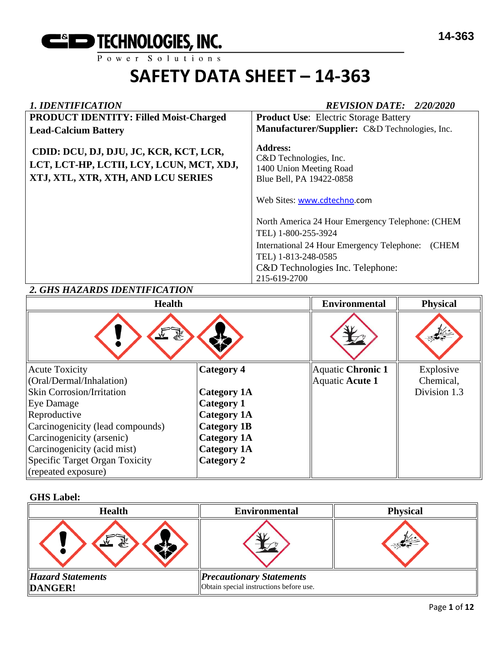

| <b>1. IDENTIFICATION</b>                                                                                                 | <b>REVISION DATE: 2/20/2020</b>                                                                                                                                                                                                                |
|--------------------------------------------------------------------------------------------------------------------------|------------------------------------------------------------------------------------------------------------------------------------------------------------------------------------------------------------------------------------------------|
| <b>PRODUCT IDENTITY: Filled Moist-Charged</b>                                                                            | <b>Product Use:</b> Electric Storage Battery                                                                                                                                                                                                   |
| <b>Lead-Calcium Battery</b>                                                                                              | Manufacturer/Supplier: C&D Technologies, Inc.                                                                                                                                                                                                  |
| CDID: DCU, DJ, DJU, JC, KCR, KCT, LCR,<br>LCT, LCT-HP, LCTII, LCY, LCUN, MCT, XDJ,<br>XTJ, XTL, XTR, XTH, AND LCU SERIES | Address:<br>C&D Technologies, Inc.<br>1400 Union Meeting Road<br>Blue Bell, PA 19422-0858                                                                                                                                                      |
|                                                                                                                          | Web Sites: www.cdtechno.com<br>North America 24 Hour Emergency Telephone: (CHEM<br>TEL) 1-800-255-3924<br>International 24 Hour Emergency Telephone:<br><b>CHEM</b><br>TEL) 1-813-248-0585<br>C&D Technologies Inc. Telephone:<br>215-619-2700 |

## *2. GHS HAZARDS IDENTIFICATION*

| <b>Health</b>                    |                    | <b>Environmental</b> | <b>Physical</b> |
|----------------------------------|--------------------|----------------------|-----------------|
| 系<br>يبني                        |                    |                      |                 |
| <b>Acute Toxicity</b>            | <b>Category 4</b>  | Aquatic Chronic 1    | Explosive       |
| (Oral/Dermal/Inhalation)         |                    | Aquatic Acute 1      | Chemical,       |
| <b>Skin Corrosion/Irritation</b> | <b>Category 1A</b> |                      | Division 1.3    |
| Eye Damage                       | Category 1         |                      |                 |
| Reproductive                     | <b>Category 1A</b> |                      |                 |
| Carcinogenicity (lead compounds) | <b>Category 1B</b> |                      |                 |
| Carcinogenicity (arsenic)        | <b>Category 1A</b> |                      |                 |
| Carcinogenicity (acid mist)      | <b>Category 1A</b> |                      |                 |
| Specific Target Organ Toxicity   | Category 2         |                      |                 |
| (repeated exposure)              |                    |                      |                 |

#### **GHS Label:**

| <b>Health</b>                       | <b>Environmental</b>                                                       | <b>Physical</b> |
|-------------------------------------|----------------------------------------------------------------------------|-----------------|
| 瓮                                   |                                                                            |                 |
| <b>Hazard Statements</b><br>DANGER! | <b>Precautionary Statements</b><br>Obtain special instructions before use. |                 |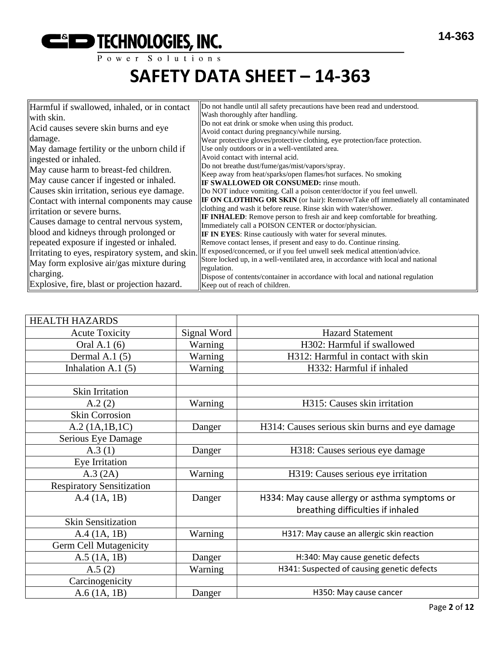

| Harmful if swallowed, inhaled, or in contact      | Do not handle until all safety precautions have been read and understood.             |
|---------------------------------------------------|---------------------------------------------------------------------------------------|
|                                                   | Wash thoroughly after handling.                                                       |
| with skin.                                        | Do not eat drink or smoke when using this product.                                    |
| Acid causes severe skin burns and eye             |                                                                                       |
| damage.                                           | Avoid contact during pregnancy/while nursing.                                         |
|                                                   | Wear protective gloves/protective clothing, eye protection/face protection.           |
| May damage fertility or the unborn child if       | Use only outdoors or in a well-ventilated area.                                       |
| ingested or inhaled.                              | Avoid contact with internal acid.                                                     |
| May cause harm to breast-fed children.            | Do not breathe dust/fume/gas/mist/vapors/spray.                                       |
|                                                   | Keep away from heat/sparks/open flames/hot surfaces. No smoking                       |
| May cause cancer if ingested or inhaled.          | <b>IF SWALLOWED OR CONSUMED:</b> rinse mouth.                                         |
| Causes skin irritation, serious eye damage.       | Do NOT induce vomiting. Call a poison center/doctor if you feel unwell.               |
| Contact with internal components may cause        | <b>IF ON CLOTHING OR SKIN</b> (or hair): Remove/Take off immediately all contaminated |
| irritation or severe burns.                       | clothing and wash it before reuse. Rinse skin with water/shower.                      |
| Causes damage to central nervous system,          | <b>IF INHALED:</b> Remove person to fresh air and keep comfortable for breathing.     |
|                                                   | Immediately call a POISON CENTER or doctor/physician.                                 |
| blood and kidneys through prolonged or            | <b>IF IN EYES:</b> Rinse cautiously with water for several minutes.                   |
| repeated exposure if ingested or inhaled.         | Remove contact lenses, if present and easy to do. Continue rinsing.                   |
| Irritating to eyes, respiratory system, and skin. | If exposed/concerned, or if you feel unwell seek medical attention/advice.            |
| May form explosive air/gas mixture during         | Store locked up, in a well-ventilated area, in accordance with local and national     |
|                                                   | regulation.                                                                           |
| charging.                                         | Dispose of contents/container in accordance with local and national regulation        |
| Explosive, fire, blast or projection hazard.      | Keep out of reach of children.                                                        |

| <b>HEALTH HAZARDS</b>            |             |                                                |
|----------------------------------|-------------|------------------------------------------------|
| <b>Acute Toxicity</b>            | Signal Word | <b>Hazard Statement</b>                        |
| Oral A.1 (6)                     | Warning     | H302: Harmful if swallowed                     |
| Dermal A.1 $(5)$                 | Warning     | H312: Harmful in contact with skin             |
| Inhalation A.1 $(5)$             | Warning     | H332: Harmful if inhaled                       |
|                                  |             |                                                |
| <b>Skin Irritation</b>           |             |                                                |
| A.2(2)                           | Warning     | H315: Causes skin irritation                   |
| <b>Skin Corrosion</b>            |             |                                                |
| A.2 (1A.1B.1C)                   | Danger      | H314: Causes serious skin burns and eye damage |
| Serious Eye Damage               |             |                                                |
| A.3(1)                           | Danger      | H318: Causes serious eye damage                |
| Eye Irritation                   |             |                                                |
| A.3 (2A)                         | Warning     | H319: Causes serious eye irritation            |
| <b>Respiratory Sensitization</b> |             |                                                |
| A.4(1A, 1B)                      | Danger      | H334: May cause allergy or asthma symptoms or  |
|                                  |             | breathing difficulties if inhaled              |
| <b>Skin Sensitization</b>        |             |                                                |
| A.4 (1A, 1B)                     | Warning     | H317: May cause an allergic skin reaction      |
| Germ Cell Mutagenicity           |             |                                                |
| $A.5$ (1A, 1B)                   | Danger      | H:340: May cause genetic defects               |
| A.5(2)                           | Warning     | H341: Suspected of causing genetic defects     |
| Carcinogenicity                  |             |                                                |
| A.6(1A, 1B)                      | Danger      | H350: May cause cancer                         |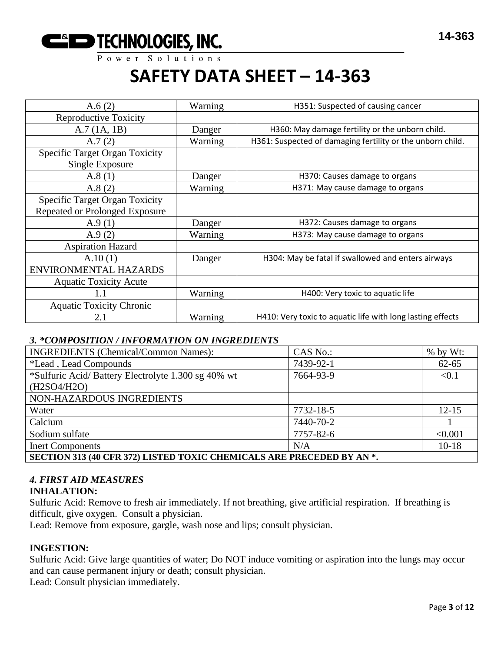

| A.6(2)                                                                         | Warning | H351: Suspected of causing cancer                          |
|--------------------------------------------------------------------------------|---------|------------------------------------------------------------|
| <b>Reproductive Toxicity</b>                                                   |         |                                                            |
| A.7(1A, 1B)                                                                    | Danger  | H360: May damage fertility or the unborn child.            |
| A.7(2)                                                                         | Warning | H361: Suspected of damaging fertility or the unborn child. |
| <b>Specific Target Organ Toxicity</b><br>Single Exposure                       |         |                                                            |
| A.8(1)                                                                         | Danger  | H370: Causes damage to organs                              |
| A.8(2)                                                                         | Warning | H371: May cause damage to organs                           |
| <b>Specific Target Organ Toxicity</b><br><b>Repeated or Prolonged Exposure</b> |         |                                                            |
| A.9(1)                                                                         | Danger  | H372: Causes damage to organs                              |
| A.9(2)                                                                         | Warning | H373: May cause damage to organs                           |
| <b>Aspiration Hazard</b>                                                       |         |                                                            |
| A.10(1)                                                                        | Danger  | H304: May be fatal if swallowed and enters airways         |
| ENVIRONMENTAL HAZARDS                                                          |         |                                                            |
| <b>Aquatic Toxicity Acute</b>                                                  |         |                                                            |
| 1.1                                                                            | Warning | H400: Very toxic to aquatic life                           |
| <b>Aquatic Toxicity Chronic</b>                                                |         |                                                            |
| 2.1                                                                            | Warning | H410: Very toxic to aquatic life with long lasting effects |

#### *3. \*COMPOSITION / INFORMATION ON INGREDIENTS*

| <b>INGREDIENTS</b> (Chemical/Common Names):                           | CAS No.:  | $%$ by Wt: |  |
|-----------------------------------------------------------------------|-----------|------------|--|
| <i>*Lead</i> , Lead Compounds                                         | 7439-92-1 | $62 - 65$  |  |
| *Sulfuric Acid/Battery Electrolyte 1.300 sg 40% wt                    | 7664-93-9 | < 0.1      |  |
| (H2SO4/H2O)                                                           |           |            |  |
| NON-HAZARDOUS INGREDIENTS                                             |           |            |  |
| Water                                                                 | 7732-18-5 | $12 - 15$  |  |
| Calcium                                                               | 7440-70-2 |            |  |
| Sodium sulfate                                                        | 7757-82-6 | < 0.001    |  |
| <b>Inert Components</b>                                               | N/A       | $10 - 18$  |  |
| SECTION 313 (40 CFR 372) LISTED TOXIC CHEMICALS ARE PRECEDED BY AN *. |           |            |  |

## *4. FIRST AID MEASURES*

#### **INHALATION:**

Sulfuric Acid: Remove to fresh air immediately. If not breathing, give artificial respiration. If breathing is difficult, give oxygen. Consult a physician.

Lead: Remove from exposure, gargle, wash nose and lips; consult physician.

#### **INGESTION:**

Sulfuric Acid: Give large quantities of water; Do NOT induce vomiting or aspiration into the lungs may occur and can cause permanent injury or death; consult physician.

Lead: Consult physician immediately.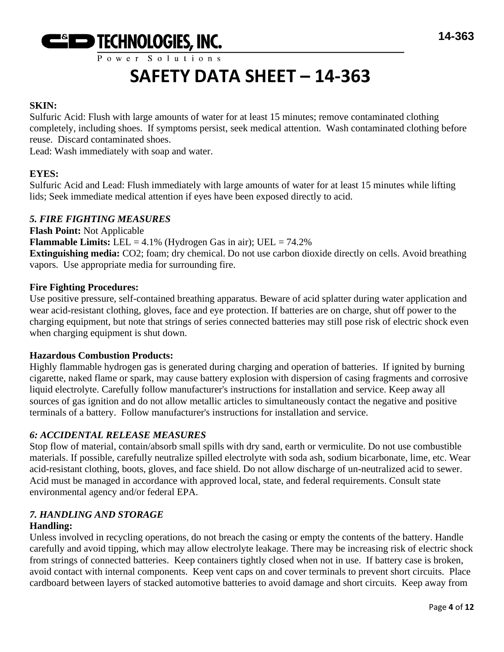

## **SAFETY DATA SHEET – 14-363**

## **SKIN:**

Sulfuric Acid: Flush with large amounts of water for at least 15 minutes; remove contaminated clothing completely, including shoes. If symptoms persist, seek medical attention. Wash contaminated clothing before reuse. Discard contaminated shoes.

Lead: Wash immediately with soap and water.

## **EYES:**

Sulfuric Acid and Lead: Flush immediately with large amounts of water for at least 15 minutes while lifting lids; Seek immediate medical attention if eyes have been exposed directly to acid.

#### *5. FIRE FIGHTING MEASURES*

**Flash Point:** Not Applicable **Flammable Limits:** LEL =  $4.1\%$  (Hydrogen Gas in air); UEL =  $74.2\%$ **Extinguishing media:** CO2; foam; dry chemical. Do not use carbon dioxide directly on cells. Avoid breathing vapors. Use appropriate media for surrounding fire.

#### **Fire Fighting Procedures:**

Use positive pressure, self-contained breathing apparatus. Beware of acid splatter during water application and wear acid-resistant clothing, gloves, face and eye protection. If batteries are on charge, shut off power to the charging equipment, but note that strings of series connected batteries may still pose risk of electric shock even when charging equipment is shut down.

#### **Hazardous Combustion Products:**

Highly flammable hydrogen gas is generated during charging and operation of batteries. If ignited by burning cigarette, naked flame or spark, may cause battery explosion with dispersion of casing fragments and corrosive liquid electrolyte. Carefully follow manufacturer's instructions for installation and service. Keep away all sources of gas ignition and do not allow metallic articles to simultaneously contact the negative and positive terminals of a battery. Follow manufacturer's instructions for installation and service.

## *6: ACCIDENTAL RELEASE MEASURES*

Stop flow of material, contain/absorb small spills with dry sand, earth or vermiculite. Do not use combustible materials. If possible, carefully neutralize spilled electrolyte with soda ash, sodium bicarbonate, lime, etc. Wear acid-resistant clothing, boots, gloves, and face shield. Do not allow discharge of un-neutralized acid to sewer. Acid must be managed in accordance with approved local, state, and federal requirements. Consult state environmental agency and/or federal EPA.

#### *7. HANDLING AND STORAGE* **Handling:**

Unless involved in recycling operations, do not breach the casing or empty the contents of the battery. Handle carefully and avoid tipping, which may allow electrolyte leakage. There may be increasing risk of electric shock from strings of connected batteries. Keep containers tightly closed when not in use. If battery case is broken, avoid contact with internal components. Keep vent caps on and cover terminals to prevent short circuits. Place cardboard between layers of stacked automotive batteries to avoid damage and short circuits. Keep away from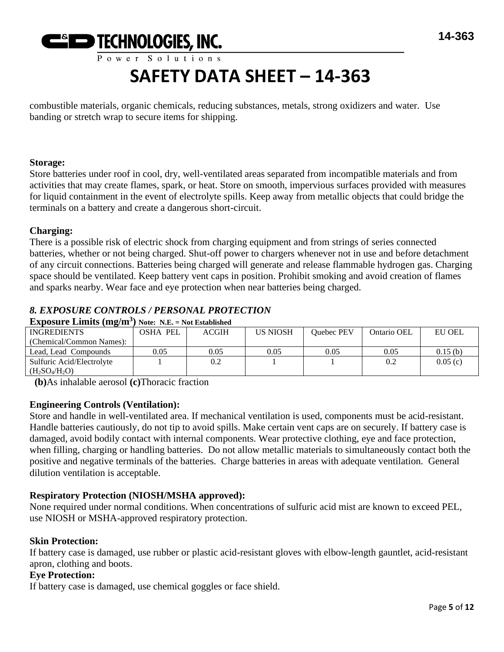

# **SAFETY DATA SHEET – 14-363**

combustible materials, organic chemicals, reducing substances, metals, strong oxidizers and water. Use banding or stretch wrap to secure items for shipping.

#### **Storage:**

Store batteries under roof in cool, dry, well-ventilated areas separated from incompatible materials and from activities that may create flames, spark, or heat. Store on smooth, impervious surfaces provided with measures for liquid containment in the event of electrolyte spills. Keep away from metallic objects that could bridge the terminals on a battery and create a dangerous short-circuit.

#### **Charging:**

There is a possible risk of electric shock from charging equipment and from strings of series connected batteries, whether or not being charged. Shut-off power to chargers whenever not in use and before detachment of any circuit connections. Batteries being charged will generate and release flammable hydrogen gas. Charging space should be ventilated. Keep battery vent caps in position. Prohibit smoking and avoid creation of flames and sparks nearby. Wear face and eye protection when near batteries being charged.

## *8. EXPOSURE CONTROLS / PERSONAL PROTECTION*

**Exposure Limits (mg/m<sup>3</sup> ) Note: N.E. = Not Established**

| <b>INGREDIENTS</b>        | <b>OSHA PEL</b> | <b>ACGIH</b> | US NIOSH | Ouebec PEV | Ontario OEL | EU OEL  |
|---------------------------|-----------------|--------------|----------|------------|-------------|---------|
| (Chemical/Common Names):  |                 |              |          |            |             |         |
| Lead, Lead Compounds      | 0.05            | 0.05         | 0.05     | 0.05       | 0.05        | 0.15(b) |
| Sulfuric Acid/Electrolyte |                 | 0.2          |          |            | 0.2         | 0.05(c) |
| $(H_2SO_4/H_2O)$          |                 |              |          |            |             |         |

**(b)**As inhalable aerosol **(c)**Thoracic fraction

#### **Engineering Controls (Ventilation):**

Store and handle in well-ventilated area. If mechanical ventilation is used, components must be acid-resistant. Handle batteries cautiously, do not tip to avoid spills. Make certain vent caps are on securely. If battery case is damaged, avoid bodily contact with internal components. Wear protective clothing, eye and face protection, when filling, charging or handling batteries. Do not allow metallic materials to simultaneously contact both the positive and negative terminals of the batteries. Charge batteries in areas with adequate ventilation. General dilution ventilation is acceptable.

#### **Respiratory Protection (NIOSH/MSHA approved):**

None required under normal conditions. When concentrations of sulfuric acid mist are known to exceed PEL, use NIOSH or MSHA-approved respiratory protection.

#### **Skin Protection:**

If battery case is damaged, use rubber or plastic acid-resistant gloves with elbow-length gauntlet, acid-resistant apron, clothing and boots.

#### **Eye Protection:**

If battery case is damaged, use chemical goggles or face shield.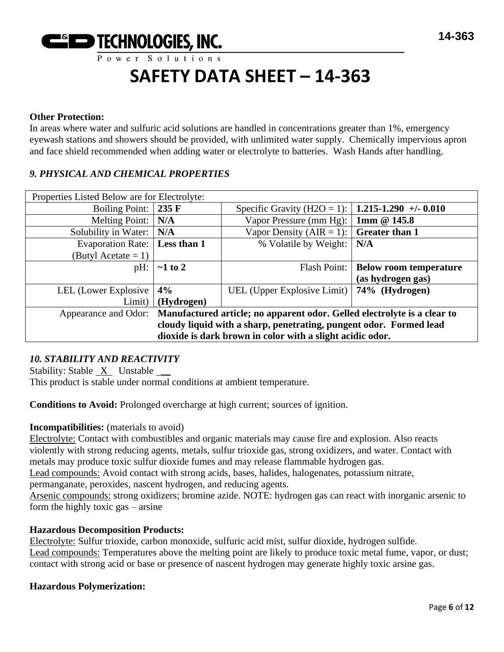

#### **Other Protection:**

In areas where water and sulfuric acid solutions are handled in concentrations greater than 1%, emergency eyewash stations and showers should be provided, with unlimited water supply. Chemically impervious apron and face shield recommended when adding water or electrolyte to batteries. Wash Hands after handling.

#### *9. PHYSICAL AND CHEMICAL PROPERTIES*

| Properties Listed Below are for Electrolyte:                                                  |                 |                             |                               |
|-----------------------------------------------------------------------------------------------|-----------------|-----------------------------|-------------------------------|
| <b>Boiling Point:</b>                                                                         | $235 \text{ F}$ | Specific Gravity (H2O = 1): | $1.215 - 1.290 + -0.010$      |
| <b>Melting Point:</b>                                                                         | N/A             | Vapor Pressure (mm Hg):     | 1mm $@145.8$                  |
| Solubility in Water:                                                                          | N/A             | Vapor Density (AIR = 1):    | <b>Greater than 1</b>         |
| <b>Evaporation Rate:</b>                                                                      | Less than 1     | % Volatile by Weight:       | N/A                           |
| (Butyl Acetate = 1)                                                                           |                 |                             |                               |
| pH:                                                                                           | $\sim$ 1 to 2   | Flash Point:                | <b>Below room temperature</b> |
|                                                                                               |                 |                             | (as hydrogen gas)             |
| LEL (Lower Explosive                                                                          | 4%              | UEL (Upper Explosive Limit) | 74% (Hydrogen)                |
| Limit)                                                                                        | (Hydrogen)      |                             |                               |
| Appearance and Odor: Manufactured article; no apparent odor. Gelled electrolyte is a clear to |                 |                             |                               |
| cloudy liquid with a sharp, penetrating, pungent odor. Formed lead                            |                 |                             |                               |
| dioxide is dark brown in color with a slight acidic odor.                                     |                 |                             |                               |

#### *10. STABILITY AND REACTIVITY*

Stability: Stable X Unstable \_\_

This product is stable under normal conditions at ambient temperature.

**Conditions to Avoid:** Prolonged overcharge at high current; sources of ignition.

#### **Incompatibilities:** (materials to avoid)

Electrolyte: Contact with combustibles and organic materials may cause fire and explosion. Also reacts violently with strong reducing agents, metals, sulfur trioxide gas, strong oxidizers, and water. Contact with metals may produce toxic sulfur dioxide fumes and may release flammable hydrogen gas.

Lead compounds: Avoid contact with strong acids, bases, halides, halogenates, potassium nitrate,

permanganate, peroxides, nascent hydrogen, and reducing agents.

Arsenic compounds: strong oxidizers; bromine azide. NOTE: hydrogen gas can react with inorganic arsenic to form the highly toxic gas – arsine

#### **Hazardous Decomposition Products:**

Electrolyte: Sulfur trioxide, carbon monoxide, sulfuric acid mist, sulfur dioxide, hydrogen sulfide. Lead compounds: Temperatures above the melting point are likely to produce toxic metal fume, vapor, or dust; contact with strong acid or base or presence of nascent hydrogen may generate highly toxic arsine gas.

#### **Hazardous Polymerization:**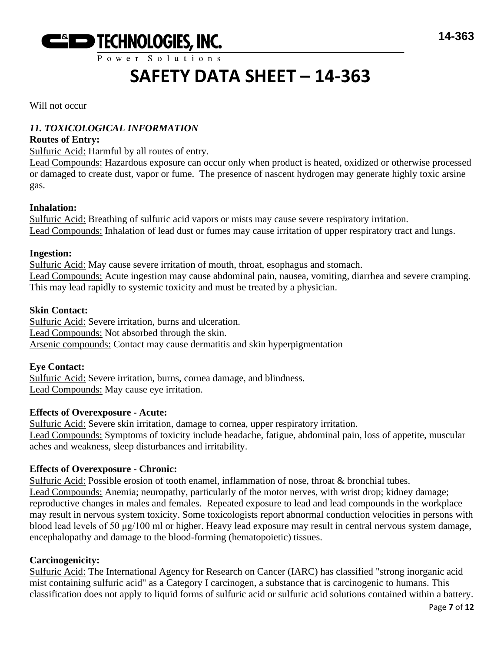

## **SAFETY DATA SHEET – 14-363**

Will not occur

## *11. TOXICOLOGICAL INFORMATION*

#### **Routes of Entry:**

Sulfuric Acid: Harmful by all routes of entry.

Lead Compounds: Hazardous exposure can occur only when product is heated, oxidized or otherwise processed or damaged to create dust, vapor or fume. The presence of nascent hydrogen may generate highly toxic arsine gas.

#### **Inhalation:**

Sulfuric Acid: Breathing of sulfuric acid vapors or mists may cause severe respiratory irritation. Lead Compounds: Inhalation of lead dust or fumes may cause irritation of upper respiratory tract and lungs.

#### **Ingestion:**

Sulfuric Acid: May cause severe irritation of mouth, throat, esophagus and stomach. Lead Compounds: Acute ingestion may cause abdominal pain, nausea, vomiting, diarrhea and severe cramping. This may lead rapidly to systemic toxicity and must be treated by a physician.

#### **Skin Contact:**

Sulfuric Acid: Severe irritation, burns and ulceration. Lead Compounds: Not absorbed through the skin. Arsenic compounds: Contact may cause dermatitis and skin hyperpigmentation

#### **Eye Contact:**

Sulfuric Acid: Severe irritation, burns, cornea damage, and blindness. Lead Compounds: May cause eye irritation.

#### **Effects of Overexposure - Acute:**

Sulfuric Acid: Severe skin irritation, damage to cornea, upper respiratory irritation. Lead Compounds: Symptoms of toxicity include headache, fatigue, abdominal pain, loss of appetite, muscular aches and weakness, sleep disturbances and irritability.

#### **Effects of Overexposure - Chronic:**

Sulfuric Acid: Possible erosion of tooth enamel, inflammation of nose, throat & bronchial tubes. Lead Compounds: Anemia; neuropathy, particularly of the motor nerves, with wrist drop; kidney damage; reproductive changes in males and females. Repeated exposure to lead and lead compounds in the workplace may result in nervous system toxicity. Some toxicologists report abnormal conduction velocities in persons with blood lead levels of 50 μg/100 ml or higher. Heavy lead exposure may result in central nervous system damage, encephalopathy and damage to the blood-forming (hematopoietic) tissues.

#### **Carcinogenicity:**

Sulfuric Acid: The International Agency for Research on Cancer (IARC) has classified "strong inorganic acid mist containing sulfuric acid" as a Category I carcinogen, a substance that is carcinogenic to humans. This classification does not apply to liquid forms of sulfuric acid or sulfuric acid solutions contained within a battery.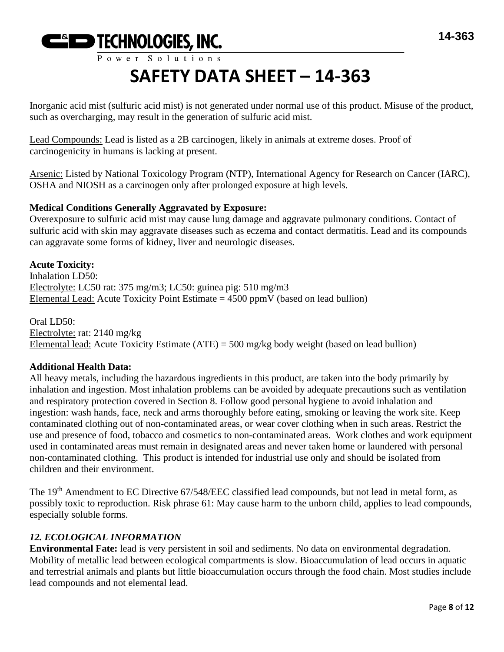

Inorganic acid mist (sulfuric acid mist) is not generated under normal use of this product. Misuse of the product, such as overcharging, may result in the generation of sulfuric acid mist.

Lead Compounds: Lead is listed as a 2B carcinogen, likely in animals at extreme doses. Proof of carcinogenicity in humans is lacking at present.

Arsenic: Listed by National Toxicology Program (NTP), International Agency for Research on Cancer (IARC), OSHA and NIOSH as a carcinogen only after prolonged exposure at high levels.

#### **Medical Conditions Generally Aggravated by Exposure:**

Overexposure to sulfuric acid mist may cause lung damage and aggravate pulmonary conditions. Contact of sulfuric acid with skin may aggravate diseases such as eczema and contact dermatitis. Lead and its compounds can aggravate some forms of kidney, liver and neurologic diseases.

**Acute Toxicity:** Inhalation LD50: Electrolyte: LC50 rat: 375 mg/m3; LC50: guinea pig: 510 mg/m3 Elemental Lead: Acute Toxicity Point Estimate  $= 4500$  ppmV (based on lead bullion)

Oral LD50: Electrolyte: rat: 2140 mg/kg Elemental lead: Acute Toxicity Estimate (ATE) = 500 mg/kg body weight (based on lead bullion)

#### **Additional Health Data:**

All heavy metals, including the hazardous ingredients in this product, are taken into the body primarily by inhalation and ingestion. Most inhalation problems can be avoided by adequate precautions such as ventilation and respiratory protection covered in Section 8. Follow good personal hygiene to avoid inhalation and ingestion: wash hands, face, neck and arms thoroughly before eating, smoking or leaving the work site. Keep contaminated clothing out of non-contaminated areas, or wear cover clothing when in such areas. Restrict the use and presence of food, tobacco and cosmetics to non-contaminated areas. Work clothes and work equipment used in contaminated areas must remain in designated areas and never taken home or laundered with personal non-contaminated clothing. This product is intended for industrial use only and should be isolated from children and their environment.

The 19<sup>th</sup> Amendment to EC Directive 67/548/EEC classified lead compounds, but not lead in metal form, as possibly toxic to reproduction. Risk phrase 61: May cause harm to the unborn child, applies to lead compounds, especially soluble forms.

## *12. ECOLOGICAL INFORMATION*

**Environmental Fate:** lead is very persistent in soil and sediments. No data on environmental degradation. Mobility of metallic lead between ecological compartments is slow. Bioaccumulation of lead occurs in aquatic and terrestrial animals and plants but little bioaccumulation occurs through the food chain. Most studies include lead compounds and not elemental lead.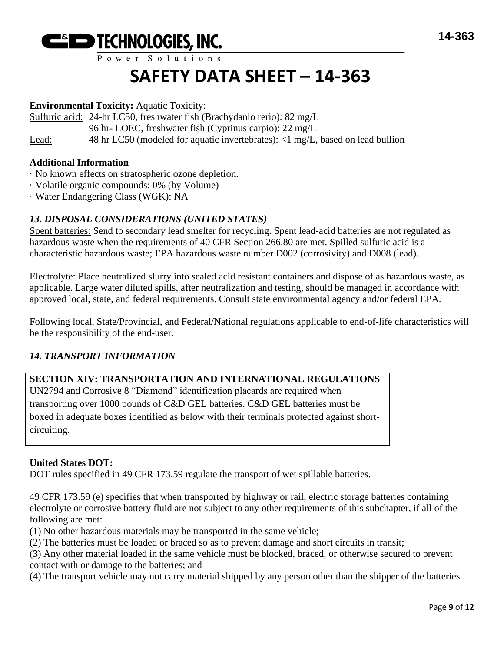

# **SAFETY DATA SHEET – 14-363**

#### **Environmental Toxicity:** Aquatic Toxicity:

Sulfuric acid: 24-hr LC50, freshwater fish (Brachydanio rerio): 82 mg/L

96 hr- LOEC, freshwater fish (Cyprinus carpio): 22 mg/L

Lead: 48 hr LC50 (modeled for aquatic invertebrates): <1 mg/L, based on lead bullion

#### **Additional Information**

- · No known effects on stratospheric ozone depletion.
- · Volatile organic compounds: 0% (by Volume)
- · Water Endangering Class (WGK): NA

## *13. DISPOSAL CONSIDERATIONS (UNITED STATES)*

Spent batteries: Send to secondary lead smelter for recycling. Spent lead-acid batteries are not regulated as hazardous waste when the requirements of 40 CFR Section 266.80 are met. Spilled sulfuric acid is a characteristic hazardous waste; EPA hazardous waste number D002 (corrosivity) and D008 (lead).

Electrolyte: Place neutralized slurry into sealed acid resistant containers and dispose of as hazardous waste, as applicable. Large water diluted spills, after neutralization and testing, should be managed in accordance with approved local, state, and federal requirements. Consult state environmental agency and/or federal EPA.

Following local, State/Provincial, and Federal/National regulations applicable to end-of-life characteristics will be the responsibility of the end-user.

## *14. TRANSPORT INFORMATION*

## **SECTION XIV: TRANSPORTATION AND INTERNATIONAL REGULATIONS**

UN2794 and Corrosive 8 "Diamond" identification placards are required when transporting over 1000 pounds of C&D GEL batteries. C&D GEL batteries must be boxed in adequate boxes identified as below with their terminals protected against shortcircuiting.

## **United States DOT:**

DOT rules specified in 49 CFR 173.59 regulate the transport of wet spillable batteries.

49 CFR 173.59 (e) specifies that when transported by highway or rail, electric storage batteries containing electrolyte or corrosive battery fluid are not subject to any other requirements of this subchapter, if all of the following are met:

(1) No other hazardous materials may be transported in the same vehicle;

(2) The batteries must be loaded or braced so as to prevent damage and short circuits in transit;

(3) Any other material loaded in the same vehicle must be blocked, braced, or otherwise secured to prevent contact with or damage to the batteries; and

(4) The transport vehicle may not carry material shipped by any person other than the shipper of the batteries.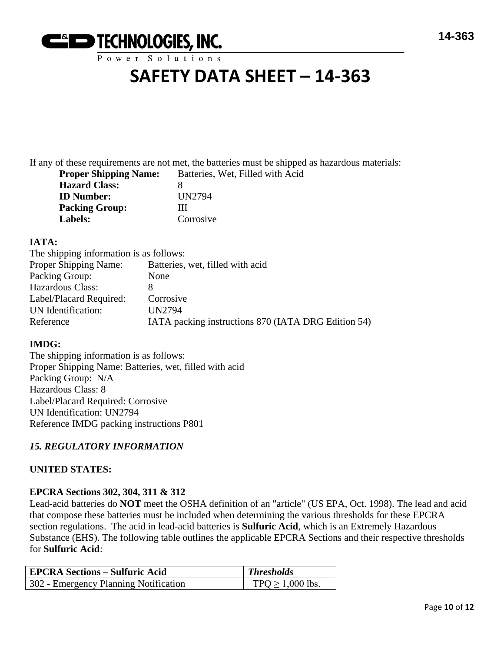

## **SAFETY DATA SHEET – 14-363**

If any of these requirements are not met, the batteries must be shipped as hazardous materials: **Property** Batteries

| <b>Proper Shipping Name:</b> | Batteries, Wet, Fil |
|------------------------------|---------------------|
| <b>Hazard Class:</b>         | x                   |
| <b>ID Number:</b>            | UN2794              |
| <b>Packing Group:</b>        | Ш                   |
| <b>Labels:</b>               | Corrosive           |

#### **IATA:**

| The shipping information is as follows:             |
|-----------------------------------------------------|
| Batteries, wet, filled with acid                    |
| None                                                |
|                                                     |
| Corrosive                                           |
| <b>UN2794</b>                                       |
| IATA packing instructions 870 (IATA DRG Edition 54) |
|                                                     |

#### **IMDG:**

The shipping information is as follows: Proper Shipping Name: Batteries, wet, filled with acid Packing Group: N/A Hazardous Class: 8 Label/Placard Required: Corrosive UN Identification: UN2794 Reference IMDG packing instructions P801

## *15. REGULATORY INFORMATION*

#### **UNITED STATES:**

#### **EPCRA Sections 302, 304, 311 & 312**

Lead-acid batteries do **NOT** meet the OSHA definition of an "article" (US EPA, Oct. 1998). The lead and acid that compose these batteries must be included when determining the various thresholds for these EPCRA section regulations. The acid in lead-acid batteries is **Sulfuric Acid**, which is an Extremely Hazardous Substance (EHS). The following table outlines the applicable EPCRA Sections and their respective thresholds for **Sulfuric Acid**:

| <b>EPCRA Sections – Sulfuric Acid</b> | $\blacksquare$ Thresholds |
|---------------------------------------|---------------------------|
| 302 - Emergency Planning Notification | $TPQ \ge 1,000$ lbs.      |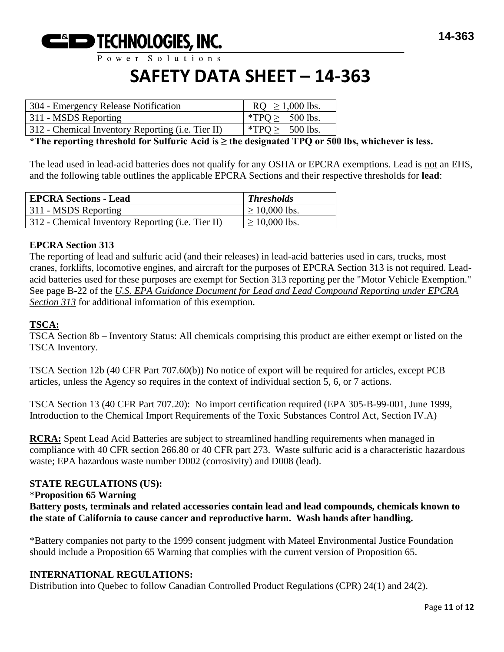

## **SAFETY DATA SHEET – 14-363**

| 304 - Emergency Release Notification                      | $RQ \ge 1,000$ lbs.  |
|-----------------------------------------------------------|----------------------|
| 311 - MSDS Reporting                                      | *TPQ $\geq$ 500 lbs. |
| 312 - Chemical Inventory Reporting ( <i>i.e.</i> Tier II) | $*TPQ \geq 500$ lbs. |

**\*The reporting threshold for Sulfuric Acid is ≥ the designated TPQ or 500 lbs, whichever is less.**

The lead used in lead-acid batteries does not qualify for any OSHA or EPCRA exemptions. Lead is not an EHS, and the following table outlines the applicable EPCRA Sections and their respective thresholds for **lead**:

| <b>EPCRA Sections - Lead</b>                      | Thresholds         |
|---------------------------------------------------|--------------------|
| 311 - MSDS Reporting                              | $\geq$ 10,000 lbs. |
| 312 - Chemical Inventory Reporting (i.e. Tier II) | $\geq$ 10,000 lbs. |

#### **EPCRA Section 313**

The reporting of lead and sulfuric acid (and their releases) in lead-acid batteries used in cars, trucks, most cranes, forklifts, locomotive engines, and aircraft for the purposes of EPCRA Section 313 is not required. Leadacid batteries used for these purposes are exempt for Section 313 reporting per the "Motor Vehicle Exemption." See page B-22 of the *U.S. EPA Guidance Document for Lead and Lead Compound Reporting under EPCRA Section 313* for additional information of this exemption.

#### **TSCA:**

TSCA Section 8b – Inventory Status: All chemicals comprising this product are either exempt or listed on the TSCA Inventory.

TSCA Section 12b (40 CFR Part 707.60(b)) No notice of export will be required for articles, except PCB articles, unless the Agency so requires in the context of individual section 5, 6, or 7 actions.

TSCA Section 13 (40 CFR Part 707.20): No import certification required (EPA 305-B-99-001, June 1999, Introduction to the Chemical Import Requirements of the Toxic Substances Control Act, Section IV.A)

**RCRA:** Spent Lead Acid Batteries are subject to streamlined handling requirements when managed in compliance with 40 CFR section 266.80 or 40 CFR part 273. Waste sulfuric acid is a characteristic hazardous waste; EPA hazardous waste number D002 (corrosivity) and D008 (lead).

#### **STATE REGULATIONS (US):**

#### \***Proposition 65 Warning**

**Battery posts, terminals and related accessories contain lead and lead compounds, chemicals known to the state of California to cause cancer and reproductive harm. Wash hands after handling.**

\*Battery companies not party to the 1999 consent judgment with Mateel Environmental Justice Foundation should include a Proposition 65 Warning that complies with the current version of Proposition 65.

#### **INTERNATIONAL REGULATIONS:**

Distribution into Quebec to follow Canadian Controlled Product Regulations (CPR) 24(1) and 24(2).